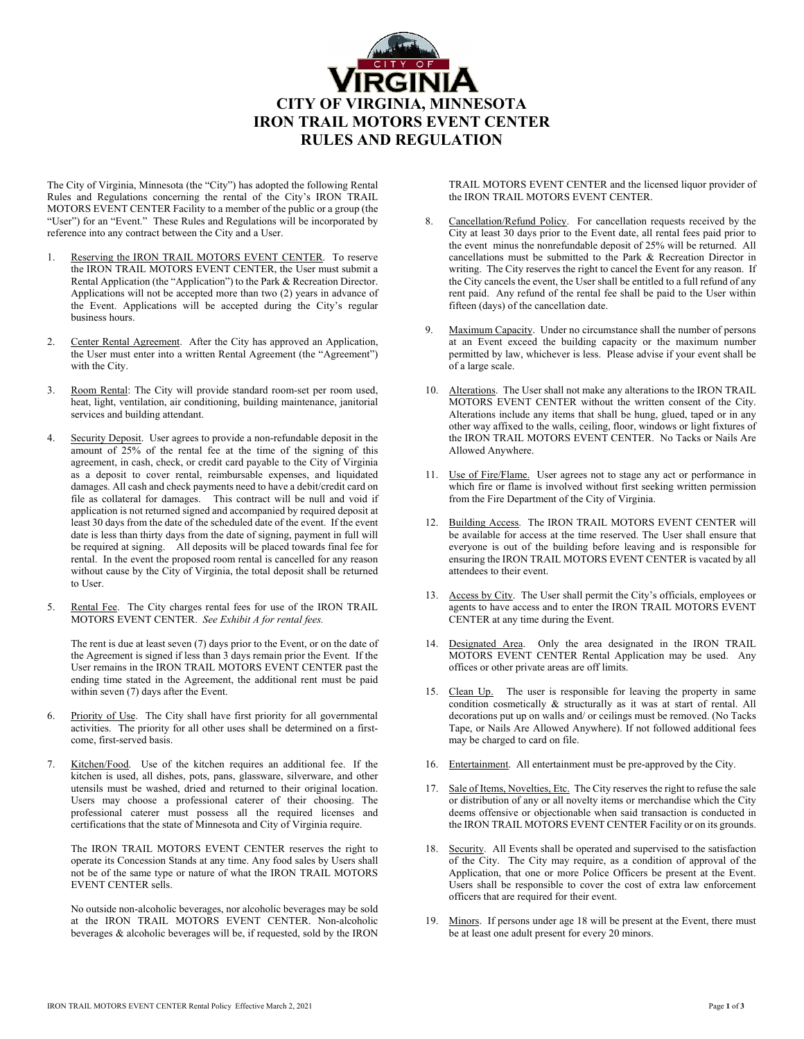

The City of Virginia, Minnesota (the "City") has adopted the following Rental Rules and Regulations concerning the rental of the City's IRON TRAIL MOTORS EVENT CENTER Facility to a member of the public or a group (the "User") for an "Event." These Rules and Regulations will be incorporated by reference into any contract between the City and a User.

- 1. Reserving the IRON TRAIL MOTORS EVENT CENTER. To reserve the IRON TRAIL MOTORS EVENT CENTER, the User must submit a Rental Application (the "Application") to the Park & Recreation Director. Applications will not be accepted more than two (2) years in advance of the Event. Applications will be accepted during the City's regular business hours.
- 2. Center Rental Agreement. After the City has approved an Application, the User must enter into a written Rental Agreement (the "Agreement") with the City.
- 3. Room Rental: The City will provide standard room-set per room used, heat, light, ventilation, air conditioning, building maintenance, janitorial services and building attendant.
- 4. Security Deposit. User agrees to provide a non-refundable deposit in the amount of 25% of the rental fee at the time of the signing of this agreement, in cash, check, or credit card payable to the City of Virginia as a deposit to cover rental, reimbursable expenses, and liquidated damages. All cash and check payments need to have a debit/credit card on file as collateral for damages. This contract will be null and void if application is not returned signed and accompanied by required deposit at least 30 days from the date of the scheduled date of the event. If the event date is less than thirty days from the date of signing, payment in full will be required at signing. All deposits will be placed towards final fee for rental. In the event the proposed room rental is cancelled for any reason without cause by the City of Virginia, the total deposit shall be returned to User.
- 5. Rental Fee. The City charges rental fees for use of the IRON TRAIL MOTORS EVENT CENTER. *See Exhibit A for rental fees.*

The rent is due at least seven (7) days prior to the Event, or on the date of the Agreement is signed if less than 3 days remain prior the Event. If the User remains in the IRON TRAIL MOTORS EVENT CENTER past the ending time stated in the Agreement, the additional rent must be paid within seven (7) days after the Event.

- 6. Priority of Use. The City shall have first priority for all governmental activities. The priority for all other uses shall be determined on a firstcome, first-served basis.
- 7. Kitchen/Food. Use of the kitchen requires an additional fee. If the kitchen is used, all dishes, pots, pans, glassware, silverware, and other utensils must be washed, dried and returned to their original location. Users may choose a professional caterer of their choosing. The professional caterer must possess all the required licenses and certifications that the state of Minnesota and City of Virginia require.

The IRON TRAIL MOTORS EVENT CENTER reserves the right to operate its Concession Stands at any time. Any food sales by Users shall not be of the same type or nature of what the IRON TRAIL MOTORS EVENT CENTER sells.

No outside non-alcoholic beverages, nor alcoholic beverages may be sold at the IRON TRAIL MOTORS EVENT CENTER. Non-alcoholic beverages & alcoholic beverages will be, if requested, sold by the IRON TRAIL MOTORS EVENT CENTER and the licensed liquor provider of the IRON TRAIL MOTORS EVENT CENTER.

- 8. Cancellation/Refund Policy. For cancellation requests received by the City at least 30 days prior to the Event date, all rental fees paid prior to the event minus the nonrefundable deposit of 25% will be returned. All cancellations must be submitted to the Park & Recreation Director in writing. The City reserves the right to cancel the Event for any reason. If the City cancels the event, the User shall be entitled to a full refund of any rent paid. Any refund of the rental fee shall be paid to the User within fifteen (days) of the cancellation date.
- 9. Maximum Capacity. Under no circumstance shall the number of persons at an Event exceed the building capacity or the maximum number permitted by law, whichever is less. Please advise if your event shall be of a large scale.
- 10. Alterations. The User shall not make any alterations to the IRON TRAIL MOTORS EVENT CENTER without the written consent of the City. Alterations include any items that shall be hung, glued, taped or in any other way affixed to the walls, ceiling, floor, windows or light fixtures of the IRON TRAIL MOTORS EVENT CENTER. No Tacks or Nails Are Allowed Anywhere.
- 11. Use of Fire/Flame. User agrees not to stage any act or performance in which fire or flame is involved without first seeking written permission from the Fire Department of the City of Virginia.
- Building Access. The IRON TRAIL MOTORS EVENT CENTER will be available for access at the time reserved. The User shall ensure that everyone is out of the building before leaving and is responsible for ensuring the IRON TRAIL MOTORS EVENT CENTER is vacated by all attendees to their event.
- 13. Access by City. The User shall permit the City's officials, employees or agents to have access and to enter the IRON TRAIL MOTORS EVENT CENTER at any time during the Event.
- 14. Designated Area. Only the area designated in the IRON TRAIL MOTORS EVENT CENTER Rental Application may be used. Any offices or other private areas are off limits.
- 15. Clean Up. The user is responsible for leaving the property in same condition cosmetically & structurally as it was at start of rental. All decorations put up on walls and/ or ceilings must be removed. (No Tacks Tape, or Nails Are Allowed Anywhere). If not followed additional fees may be charged to card on file.
- 16. Entertainment. All entertainment must be pre-approved by the City.
- 17. Sale of Items, Novelties, Etc. The City reserves the right to refuse the sale or distribution of any or all novelty items or merchandise which the City deems offensive or objectionable when said transaction is conducted in the IRON TRAIL MOTORS EVENT CENTER Facility or on its grounds.
- Security. All Events shall be operated and supervised to the satisfaction of the City. The City may require, as a condition of approval of the Application, that one or more Police Officers be present at the Event. Users shall be responsible to cover the cost of extra law enforcement officers that are required for their event.
- 19. Minors. If persons under age 18 will be present at the Event, there must be at least one adult present for every 20 minors.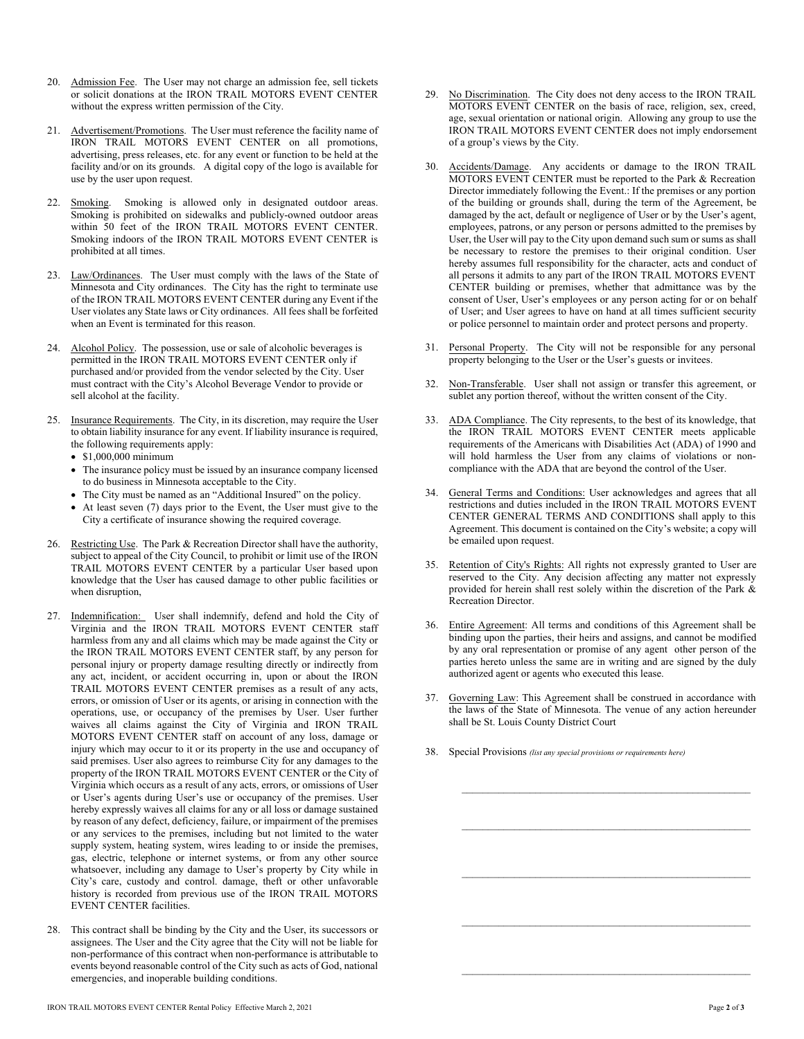- 20. Admission Fee. The User may not charge an admission fee, sell tickets or solicit donations at the IRON TRAIL MOTORS EVENT CENTER without the express written permission of the City.
- 21. Advertisement/Promotions. The User must reference the facility name of IRON TRAIL MOTORS EVENT CENTER on all promotions, advertising, press releases, etc. for any event or function to be held at the facility and/or on its grounds. A digital copy of the logo is available for use by the user upon request.
- 22. Smoking. Smoking is allowed only in designated outdoor areas. Smoking is prohibited on sidewalks and publicly-owned outdoor areas within 50 feet of the IRON TRAIL MOTORS EVENT CENTER. Smoking indoors of the IRON TRAIL MOTORS EVENT CENTER is prohibited at all times.
- 23. Law/Ordinances. The User must comply with the laws of the State of Minnesota and City ordinances. The City has the right to terminate use of the IRON TRAIL MOTORS EVENT CENTER during any Event if the User violates any State laws or City ordinances. All fees shall be forfeited when an Event is terminated for this reason.
- 24. Alcohol Policy. The possession, use or sale of alcoholic beverages is permitted in the IRON TRAIL MOTORS EVENT CENTER only if purchased and/or provided from the vendor selected by the City. User must contract with the City's Alcohol Beverage Vendor to provide or sell alcohol at the facility.
- 25. Insurance Requirements. The City, in its discretion, may require the User to obtain liability insurance for any event. If liability insurance is required, the following requirements apply:
	- \$1,000,000 minimum
	- The insurance policy must be issued by an insurance company licensed to do business in Minnesota acceptable to the City.
	- The City must be named as an "Additional Insured" on the policy.
	- $\bullet$  At least seven (7) days prior to the Event, the User must give to the City a certificate of insurance showing the required coverage.
- 26. Restricting Use. The Park & Recreation Director shall have the authority, subject to appeal of the City Council, to prohibit or limit use of the IRON TRAIL MOTORS EVENT CENTER by a particular User based upon knowledge that the User has caused damage to other public facilities or when disruption,
- 27. Indemnification: User shall indemnify, defend and hold the City of Virginia and the IRON TRAIL MOTORS EVENT CENTER staff harmless from any and all claims which may be made against the City or the IRON TRAIL MOTORS EVENT CENTER staff, by any person for personal injury or property damage resulting directly or indirectly from any act, incident, or accident occurring in, upon or about the IRON TRAIL MOTORS EVENT CENTER premises as a result of any acts, errors, or omission of User or its agents, or arising in connection with the operations, use, or occupancy of the premises by User. User further waives all claims against the City of Virginia and IRON TRAIL MOTORS EVENT CENTER staff on account of any loss, damage or injury which may occur to it or its property in the use and occupancy of said premises. User also agrees to reimburse City for any damages to the property of the IRON TRAIL MOTORS EVENT CENTER or the City of Virginia which occurs as a result of any acts, errors, or omissions of User or User's agents during User's use or occupancy of the premises. User hereby expressly waives all claims for any or all loss or damage sustained by reason of any defect, deficiency, failure, or impairment of the premises or any services to the premises, including but not limited to the water supply system, heating system, wires leading to or inside the premises, gas, electric, telephone or internet systems, or from any other source whatsoever, including any damage to User's property by City while in City's care, custody and control. damage, theft or other unfavorable history is recorded from previous use of the IRON TRAIL MOTORS EVENT CENTER facilities.
- 28. This contract shall be binding by the City and the User, its successors or assignees. The User and the City agree that the City will not be liable for non-performance of this contract when non-performance is attributable to events beyond reasonable control of the City such as acts of God, national emergencies, and inoperable building conditions.
- 29. No Discrimination. The City does not deny access to the IRON TRAIL MOTORS EVENT CENTER on the basis of race, religion, sex, creed, age, sexual orientation or national origin. Allowing any group to use the IRON TRAIL MOTORS EVENT CENTER does not imply endorsement of a group's views by the City.
- 30. Accidents/Damage. Any accidents or damage to the IRON TRAIL MOTORS EVENT CENTER must be reported to the Park & Recreation Director immediately following the Event.: If the premises or any portion of the building or grounds shall, during the term of the Agreement, be damaged by the act, default or negligence of User or by the User's agent, employees, patrons, or any person or persons admitted to the premises by User, the User will pay to the City upon demand such sum or sums as shall be necessary to restore the premises to their original condition. User hereby assumes full responsibility for the character, acts and conduct of all persons it admits to any part of the IRON TRAIL MOTORS EVENT CENTER building or premises, whether that admittance was by the consent of User, User's employees or any person acting for or on behalf of User; and User agrees to have on hand at all times sufficient security or police personnel to maintain order and protect persons and property.
- 31. Personal Property. The City will not be responsible for any personal property belonging to the User or the User's guests or invitees.
- 32. Non-Transferable. User shall not assign or transfer this agreement, or sublet any portion thereof, without the written consent of the City.
- 33. ADA Compliance. The City represents, to the best of its knowledge, that the IRON TRAIL MOTORS EVENT CENTER meets applicable requirements of the Americans with Disabilities Act (ADA) of 1990 and will hold harmless the User from any claims of violations or noncompliance with the ADA that are beyond the control of the User.
- 34. General Terms and Conditions: User acknowledges and agrees that all restrictions and duties included in the IRON TRAIL MOTORS EVENT CENTER GENERAL TERMS AND CONDITIONS shall apply to this Agreement. This document is contained on the City's website; a copy will be emailed upon request.
- 35. Retention of City's Rights: All rights not expressly granted to User are reserved to the City. Any decision affecting any matter not expressly provided for herein shall rest solely within the discretion of the Park & Recreation Director.
- 36. Entire Agreement: All terms and conditions of this Agreement shall be binding upon the parties, their heirs and assigns, and cannot be modified by any oral representation or promise of any agent other person of the parties hereto unless the same are in writing and are signed by the duly authorized agent or agents who executed this lease.
- 37. Governing Law: This Agreement shall be construed in accordance with the laws of the State of Minnesota. The venue of any action hereunder shall be St. Louis County District Court
- 38. Special Provisions *(list any special provisions or requirements here)*